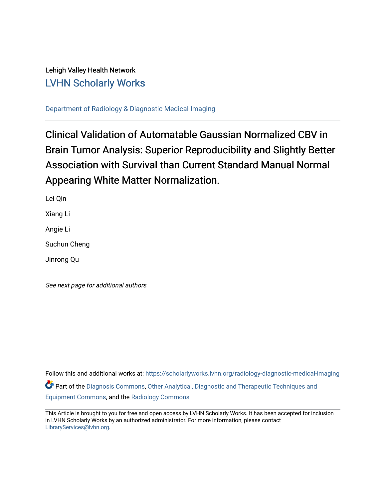# Lehigh Valley Health Network [LVHN Scholarly Works](https://scholarlyworks.lvhn.org/)

[Department of Radiology & Diagnostic Medical Imaging](https://scholarlyworks.lvhn.org/radiology-diagnostic-medical-imaging) 

Clinical Validation of Automatable Gaussian Normalized CBV in Brain Tumor Analysis: Superior Reproducibility and Slightly Better Association with Survival than Current Standard Manual Normal Appearing White Matter Normalization.

Lei Qin Xiang Li Angie Li Suchun Cheng

Jinrong Qu

See next page for additional authors

Follow this and additional works at: [https://scholarlyworks.lvhn.org/radiology-diagnostic-medical-imaging](https://scholarlyworks.lvhn.org/radiology-diagnostic-medical-imaging?utm_source=scholarlyworks.lvhn.org%2Fradiology-diagnostic-medical-imaging%2F43&utm_medium=PDF&utm_campaign=PDFCoverPages)  Part of the [Diagnosis Commons,](http://network.bepress.com/hgg/discipline/945?utm_source=scholarlyworks.lvhn.org%2Fradiology-diagnostic-medical-imaging%2F43&utm_medium=PDF&utm_campaign=PDFCoverPages) [Other Analytical, Diagnostic and Therapeutic Techniques and](http://network.bepress.com/hgg/discipline/994?utm_source=scholarlyworks.lvhn.org%2Fradiology-diagnostic-medical-imaging%2F43&utm_medium=PDF&utm_campaign=PDFCoverPages) [Equipment Commons](http://network.bepress.com/hgg/discipline/994?utm_source=scholarlyworks.lvhn.org%2Fradiology-diagnostic-medical-imaging%2F43&utm_medium=PDF&utm_campaign=PDFCoverPages), and the [Radiology Commons](http://network.bepress.com/hgg/discipline/705?utm_source=scholarlyworks.lvhn.org%2Fradiology-diagnostic-medical-imaging%2F43&utm_medium=PDF&utm_campaign=PDFCoverPages) 

This Article is brought to you for free and open access by LVHN Scholarly Works. It has been accepted for inclusion in LVHN Scholarly Works by an authorized administrator. For more information, please contact [LibraryServices@lvhn.org](mailto:LibraryServices@lvhn.org).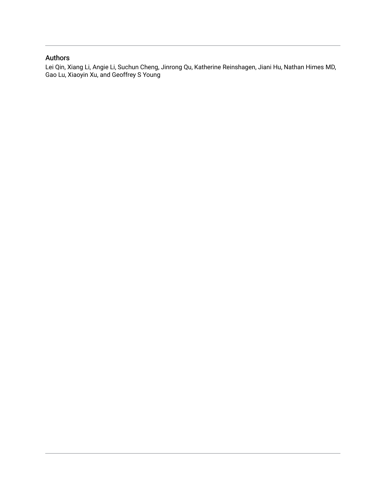## Authors

Lei Qin, Xiang Li, Angie Li, Suchun Cheng, Jinrong Qu, Katherine Reinshagen, Jiani Hu, Nathan Himes MD, Gao Lu, Xiaoyin Xu, and Geoffrey S Young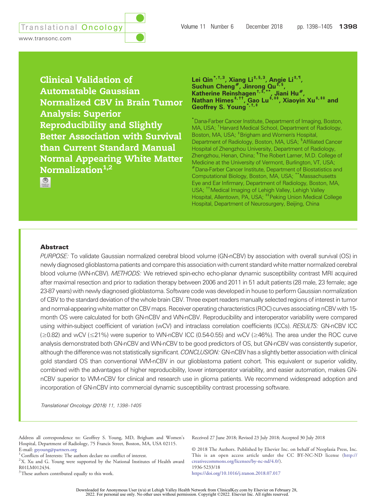www.transonc.com

Clinical Validation of Automatable Gaussian Normalized CBV in Brain Tumor Analysis: Superior Reproducibility and Slightly Better Association with Survival than Current Standard Manual Normal Appearing White Matter Normalization $1,2$  $\begin{array}{c} \circ \\ \circ \end{array}$ 

Lei Qin<sup>\*, t, 3</sup>, Xiang Li<sup>‡, §, 3</sup>, Angie Li<sup>‡, ¶</sup>, Suchun Cheng#, Jinrong Qu‡, §, Katherine Reinshagen<sup>†, ‡,\*\*</sup>, Jiani Hu<sup>#</sup>, Nathan Himes<sup>‡, ††</sup>, Gao Lu<sup>‡, ‡‡</sup>, Xiaoyin Xu<sup>‡, ‡‡</sup> and Geoffrey S. Young\*, †, ‡

\* Dana-Farber Cancer Institute, Department of Imaging, Boston, MA, USA; † Harvard Medical School, Department of Radiology, Boston, MA, USA; ‡ Brigham and Women's Hospital, Department of Radiology, Boston, MA, USA; <sup>§</sup> Affiliated Cancer Hospital of Zhengzhou University, Department of Radiology, Zhengzhou, Henan, China; <sup>1</sup>The Robert Larner, M.D. College of Medicine at the University of Vermont, Burlington, VT, USA; #Dana-Farber Cancer Institute, Department of Biostatistics and Computational Biology, Boston, MA, USA; \*\*Massachusetts Eye and Ear Infirmary, Department of Radiology, Boston, MA, USA; ††Medical Imaging of Lehigh Valley, Lehigh Valley Hospital, Allentown, PA, USA; <sup>##</sup>Peking Union Medical College Hospital, Department of Neurosurgery, Beijing, China

## Abstract

PURPOSE: To validate Gaussian normalized cerebral blood volume (GN-nCBV) by association with overall survival (OS) in newly diagnosed glioblastoma patients and compare this association with current standard white matter normalized cerebral blood volume (WN-nCBV). METHODS: We retrieved spin-echo echo-planar dynamic susceptibility contrast MRI acquired after maximal resection and prior to radiation therapy between 2006 and 2011 in 51 adult patients (28 male, 23 female; age 23-87 years) with newly diagnosed glioblastoma. Software code was developed in house to perform Gaussian normalization of CBV to the standard deviation of the whole brain CBV. Three expert readers manually selected regions of interest in tumor and normal-appearing white matter on CBV maps. Receiver operating characteristics (ROC) curves associating nCBV with 15month OS were calculated for both GN-nCBV and WN-nCBV. Reproducibility and interoperator variability were compared using within-subject coefficient of variation (wCV) and intraclass correlation coefficients (ICCs). RESULTS: GN-nCBV ICC (≥0.82) and wCV (≤21%) were superior to WN-nCBV ICC (0.54-0.55) and wCV (≥46%). The area under the ROC curve analysis demonstrated both GN-nCBV and WN-nCBV to be good predictors of OS, but GN-nCBV was consistently superior, although the difference was not statistically significant. CONCLUSION: GN-nCBV has a slightly better association with clinical gold standard OS than conventional WM-nCBV in our glioblastoma patient cohort. This equivalent or superior validity, combined with the advantages of higher reproducibility, lower interoperator variability, and easier automation, makes GNnCBV superior to WM-nCBV for clinical and research use in glioma patients. We recommend widespread adoption and incorporation of GN-nCBV into commercial dynamic susceptibility contrast processing software.

Translational Oncology (2018) 11, 1398–1405

Address all correspondence to: Geoffrey S. Young, MD, Brigham and Women's Hospital, Department of Radiology, 75 Francis Street, Boston, MA, USA 02115. E-mail: <gsyoung@partners.org> <sup>1</sup>

 $2X$ . Xu and G. Young were supported by the National Institutes of Health award R01LM012434.

<sup>3</sup> These authors contributed equally to this work.

Received 27 June 2018; Revised 23 July 2018; Accepted 30 July 2018

© 2018 The Authors. Published by Elsevier Inc. on behalf of Neoplasia Press, Inc. This is an open access article under the CC BY-NC-ND license ([http://](http://creativecommons.org/licenses/by-nc-nd/4.0/) [creativecommons.org/licenses/by-nc-nd/4.0/](http://creativecommons.org/licenses/by-nc-nd/4.0/)). 1936-5233/18 <https://doi.org/10.1016/j.tranon.2018.07.017>

Downloaded for Anonymous User (n/a) at Lehigh Valley Health Network from ClinicalKey.com by Elsevier on February 28, 2022. For personal use only. No other uses without permission. Copyright ©2022. Elsevier Inc. All rights

<sup>&</sup>lt;sup>1</sup> Conflicts of Interests: The authors declare no conflict of interest.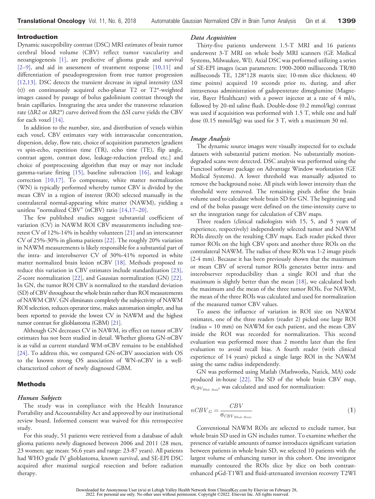#### Introduction

Dynamic susceptibility contrast (DSC) MRI estimates of brain tumor cerebral blood volume (CBV) reflect tumor vascularity and neoangiogenesis [\[1\],](#page-8-0) are predictive of glioma grade and survival [2–[9\],](#page-8-0) and aid in assessment of treatment response [\[10,11\]](#page-8-0) and differentiation of pseudoprogression from true tumor progression [\[12,13\].](#page-8-0) DSC detects the transient decrease in signal intensity ( $\Delta SI$ ) (t)) on continuously acquired echo-planar T2 or T2\*-weighted images caused by passage of bolus gadolinium contrast through the brain capillaries. Integrating the area under the transverse relaxation rate ( $\Delta$ R2 or  $\Delta$ R2<sup>\*</sup>) curve derived from the  $\Delta$ SI curve yields the CBV for each voxel [\[14\]](#page-8-0).

In addition to the number, size, and distribution of vessels within each voxel, CBV estimates vary with intravascular concentration, dispersion, delay, flow rate, choice of acquisition parameters [gradient vs spin-echo, repetition time (TR), echo time (TE), flip angle, contrast agent, contrast dose, leakage-reduction preload etc.] and choice of postprocessing algorithm that may or may not include gamma-variate fitting [\[15\],](#page-8-0) baseline subtraction [\[16\],](#page-8-0) and leakage correction [\[10,17\].](#page-8-0) To compensate, white matter normalization (WN) is typically performed whereby tumor CBV is divided by the mean CBV in a region of interest (ROI) selected manually in the contralateral normal-appearing white matter (NAWM), yielding a unitless "normalized CBV" (nCBV) ratio [\[14,17](#page-8-0)–20].

The few published studies suggest substantial coefficient of variation (CV) in NAWM ROI CBV measurements including testretest CV of 12%-14% in healthy volunteers [\[21\]](#page-9-0) and an interscanner CV of 25%-30% in glioma patients [\[22\].](#page-9-0) The roughly 20% variation in NAWM measurements is likely responsible for a substantial part of the intra- and interobserver CV of 30%-41% reported in white matter normalized brain lesion nCBV [\[18\].](#page-9-0) Methods proposed to reduce this variation in CBV estimates include standardization [\[23\],](#page-9-0) Z-score normalization [\[22\],](#page-9-0) and Gaussian normalization (GN) [\[22\].](#page-9-0) In GN, the tumor ROI CBV is normalized to the standard deviation (SD) of CBV throughout the whole brain rather than ROI measurements of NAWM CBV. GN eliminates completely the subjectivity of NAWM ROI selection, reduces operator time, makes automation simpler, and has been reported to provide the lowest CV in NAWM and the highest tumor contrast for glioblastoma (GBM) [\[21\]](#page-9-0).

Although GN decreases CV in NAWM, its effect on tumor nCBV estimates has not been studied in detail. Whether glioma GN-nCBV is as valid as current standard WM-nCBV remains to be established [\[24\]](#page-9-0). To address this, we compared GN-nCBV association with OS to the known strong OS association of WN-nCBV in a wellcharacterized cohort of newly diagnosed GBM.

## Methods

#### Human Subjects

The study was in compliance with the Health Insurance Portability and Accountability Act and approved by our institutional review board. Informed consent was waived for this retrospective study.

For this study, 51 patients were retrieved from a database of adult glioma patients newly diagnosed between 2006 and 2011 (28 men, 23 women; age mean: 56.6 years and range: 23-87 years). All patients had WHO grade IV glioblastoma, known survival, and SE-EPI DSC acquired after maximal surgical resection and before radiation therapy.

#### Data Acquisition

Thirty-five patients underwent 1.5-T MRI and 16 patients underwent 3-T MRI on whole body MRI scanners (GE Medical Systems, Milwaukee, WI). Axial DSC was performed utilizing a series of SE-EPI images (scan parameters: 1900-2000 milliseconds TR/80 milliseconds TE, 128\*128 matrix size; 10-mm slice thickness; 40 time points) acquired 10 seconds prior to, during, and after intravenous administration of gadopentetate dimeglumine (Magnevist, Bayer Healthcare) with a power injector at a rate of 4 ml/s, followed by 20-ml saline flush. Double-dose (0.2 mmol/kg) contrast was used if acquisition was performed with 1.5 T, while one and half dose (0.15 mmol/kg) was used for 3 T, with a maximum 30 ml.

#### Image Analysis

The dynamic source images were visually inspected for to exclude datasets with substantial patient motion. No substantially motiondegraded scans were detected. DSC analysis was performed using the Functool software package on Advantage Window workstation (GE Medical Systems). A lower threshold was manually adjusted to remove the background noise. All pixels with lower intensity than the threshold were removed. The remaining pixels define the brain volume used to calculate whole brain SD for GN. The beginning and end of the bolus passage were defined on the time-intensity curve to set the integration range for calculation of CBV maps.

Three readers (clinical radiologists with 15, 5, and 5 years of experience, respectively) independently selected tumor and NAWM ROIs directly on the resulting CBV maps. Each reader picked three tumor ROIs on the high CBV spots and another three ROIs on the contralateral NAWM. The radius of these ROIs was 1-2 image pixels (2-4 mm). Because it has been previously shown that the maximum or mean CBV of several tumor ROIs generates better intra- and interobserver reproducibility than a single ROI and that the maximum is slightly better than the mean [\[18\],](#page-9-0) we calculated both the maximum and the mean of the three tumor ROIs. For NAWM, the mean of the three ROIs was calculated and used for normalization of the measured tumor CBV values.

To assess the influence of variation in ROI size on NAWM estimates, one of the three readers (reader 2) picked one large ROI (radius = 10 mm) on NAWM for each patient, and the mean CBV inside the ROI was recorded for normalization. This second evaluation was performed more than 2 months later than the first evaluation to avoid recall bias. A fourth reader (with clinical experience of 14 years) picked a single large ROI in the NAWM using the same radius independently.

GN was performed using Matlab (Mathworks, Natick, MA) code produced in-house [\[22\]](#page-9-0). The SD of the whole brain CBV map,  $\sigma_{CBV_{Whole}}$  was calculated and used for normalization:

$$
nCBV_G = \frac{CBV}{\sigma_{CBV_{Whole\;Brain}}}
$$
\n<sup>(1)</sup>

Conventional NAWM ROIs are selected to exclude tumor, but whole brain SD used in GN includes tumor. To examine whether the presence of variable amounts of tumor introduces significant variation between patients in whole brain SD, we selected 10 patients with the largest volume of enhancing tumor in this cohort. One investigator manually contoured the ROIs slice by slice on both contrastenhanced pGd-T1WI and fluid-attenuated inversion recovery T2WI

Downloaded for Anonymous User (n/a) at Lehigh Valley Health Network from ClinicalKey.com by Elsevier on February 28, 2022. For personal use only. No other uses without permission. Copyright ©2022. Elsevier Inc. All rights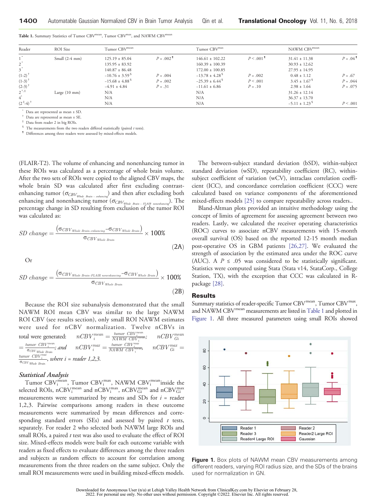<span id="page-4-0"></span>Table 1. Summary Statistics of Tumor CBV<sup>mean</sup>, Tumor CBV<sup>max</sup>, and NAWM CBV<sup>mean</sup>

| Reader               | ROI Size                | Tumor CBV <sup>mean</sup> |                         | Tumor CBV <sup>max</sup>  |                         | NAWM CBV <sup>mean</sup>      |                        |
|----------------------|-------------------------|---------------------------|-------------------------|---------------------------|-------------------------|-------------------------------|------------------------|
|                      | $Small (2-4 mm)$        | $125.19 \pm 85.04$        | $P = .002$ <sup>9</sup> | $146.61 \pm 102.22$       | $P < .001$ <sup>9</sup> | $31.41 \pm 11.38$             | $P = .04$ <sup>5</sup> |
| $2^*$                |                         | $135.95 \pm 83.92$        |                         | $160.39 \pm 100.39$       |                         | $30.93 \pm 12.62$             |                        |
| $3^*$                |                         | $140.87 \pm 86.48$        |                         | $172.00 \pm 100.85$       |                         | $27.95 \pm 14.95$             |                        |
| $(1-2)$ <sup>†</sup> |                         | $-10.76 \pm 3.59$         | $P = .004$              | $-13.78 \pm 4.28$         | $P = .002$              | $0.48 \pm 1.12$               | $P = .67$              |
| $(1-3)$              |                         | $-15.68 \pm 4.88$         | $P = .002$              | $-25.39 \pm 6.44^{\circ}$ | P < .001                | $3.45 \pm 1.67$               | $P = .044$             |
| $(2-3)$              |                         | $-4.91 \pm 4.84$          | $P = .31$               | $-11.61 \pm 6.86$         | $P = .10$               | $2.98 \pm 1.64$               | $P = .075$             |
| $2^{*,+}$            | Large $(10 \text{ mm})$ | N/A                       |                         | N/A                       |                         | $31.26 \pm 12.14$             |                        |
| $4^*$                |                         | N/A                       |                         | N/A                       |                         | $36.37 \pm 13.70$             |                        |
| $(2^+ - 4)^+$        |                         | N/A                       |                         | N/A                       |                         | $-5.11 \pm 1.23$ <sup>9</sup> | P < .001               |

\* Data are represented as mean ± SD.

† Data are represented as mean ± SE.

Data from reader 2 in big ROIs.

 $§$  The measurements from the two readers differed statistically (paired t tests). ¶ Differences among three readers were assessed by mixed-effects models.

(FLAIR-T2). The volume of enhancing and nonenhancing tumor in these ROIs was calculated as a percentage of whole brain volume. After the two sets of ROIs were copied to the aligned CBV maps, the whole brain SD was calculated after first excluding contrastenhancing tumor ( $\sigma_{CBV_{Whole\ B_{rain - entancing}}}$ ) and then after excluding both enhancing and nonenhancing tumor ( $\sigma_{CBV_{Whole Brian - FLAIR nonenbancin}}$ ). The percentage change in SD resulting from exclusion of the tumor ROI was calculated as:

$$
SD\ change = \frac{\left(\sigma_{CBV\_{Whole\ Brain-enhancing} - \sigma_{CBV\_{Whole\ Brain}}\right)}{\sigma_{CBV\_{Whole\ Brain}}}\times 100\%
$$
\n
$$
(2A)
$$

Or

$$
SD\ change = \frac{(\sigma_{CBV\_{Whole\ Brain-FLAIR\ nonenhancing}} - \sigma_{CBV\_{Whole\ Brain}})}{\sigma_{CBV\,Whole\ Brain}} \times 100\%
$$
\n(2B)

Because the ROI size subanalysis demonstrated that the small NAWM ROI mean CBV was similar to the large NAWM ROI CBV (see results section), only small ROI NAWM estimates were used for nCBV normalization. Twelve nCBVs in total were generated:<br>=  $\frac{tumor \; CBV_i^{mean}}{T}$ ; and  $\frac{mean}{i} = \frac{tumor \; CBV}{NAWM \; CBV_i^{mea}}$  $\int_{0}^{t}$  and  $nCBV_i^{max} = \frac{tumor CBV_i^{max}}{NAWM CBV_i^{mean}}$  $nCBV_{Gi}^{mean}$  $nCBV_{Gi}^{max} =$  $=\frac{tumor \; CBV}{\sigma_{CBV}}$ <sub>Whole Brain</sub>  $\frac{t_{\text{tumor } \text{CBV}_i}}{\sigma_{\text{CBV}}_{\text{Whole } \text{Brain}}}$ , where i = reader 1,2,3.

## Statistical Analysis

Tumor CBV<sub>i</sub><sup>mean</sup>, Tumor CBV<sub>i</sub><sup>max</sup>, NAWM CBV<sub>i</sub><sup>mean</sup>inside the selected ROIs,  $\mathrm{nCBV}_{\mathrm{i}}^{\mathrm{mean}}$  and  $\mathrm{nCBV}_{\mathrm{ii}}^{\mathrm{max}}$ ,  $\mathrm{nCBV}_{\mathrm{Gi}}^{\mathrm{mean}}$  and  $\mathrm{nCBV}_{\mathrm{Gi}}^{\mathrm{max}}$ measurements were summarized by means and SDs for  $i =$  reader 1,2,3. Pairwise comparisons among readers in these outcome measurements were summarized by mean differences and corresponding standard errors (SEs) and assessed by paired  $t$  tests, separately. For reader 2 who selected both NAWM large ROIs and small ROIs, a paired  $t$  test was also used to evaluate the effect of ROI size. Mixed-effects models were built for each outcome variable with readers as fixed effects to evaluate differences among the three readers and subjects as random effects to account for correlation among measurements from the three readers on the same subject. Only the small ROI measurements were used in building mixed-effects models.

The between-subject standard deviation (bSD), within-subject standard deviation (wSD), repeatability coefficient (RC), withinsubject coefficient of variation (wCV), intraclass correlation coefficient (ICC), and concordance correlation coefficient (CCC) were calculated based on variance components of the aforementioned mixed-effects models [\[25\]](#page-9-0) to compare repeatability across readers..

Bland-Altman plots provided an intuitive methodology using the concept of limits of agreement for assessing agreement between two readers. Lastly, we calculated the receiver operating characteristics (ROC) curves to associate nCBV measurements with 15-month overall survival (OS) based on the reported 12-15 month median post-operative OS in GBM patients [\[26,27\]](#page-9-0). We evaluated the strength of association by the estimated area under the ROC curve (AUC). A  $P \leq .05$  was considered to be statistically significant. Statistics were computed using Stata (Stata v14, StataCorp., College Station, TX), with the exception that CCC was calculated in Rpackage [\[28\]](#page-9-0).

#### **Results**

Summary statistics of reader-specific Tumor CBV<sup>mean</sup>, Tumor CBV<sup>max</sup>, and NAWM CBV<sup>mean</sup> measurements are listed in Table 1 and plotted in Figure 1. All three measured parameters using small ROIs showed



Figure 1. Box plots of NAWM mean CBV measurements among different readers, varying ROI radius size, and the SDs of the brains used for normalization in GN.

Downloaded for Anonymous User (n/a) at Lehigh Valley Health Network from ClinicalKey.com by Elsevier on February 28, 2022. For personal use only. No other uses without permission. Copyright ©2022. Elsevier Inc. All rights reserved.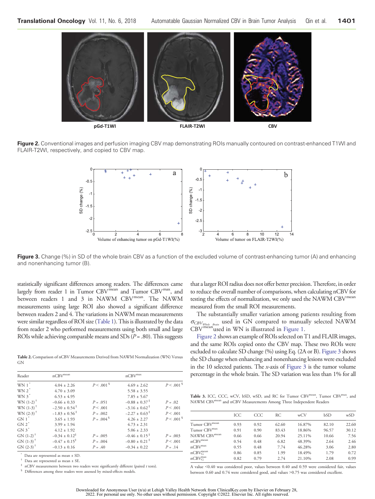<span id="page-5-0"></span>

Figure 2. Conventional images and perfusion imaging CBV map demonstrating ROIs manually contoured on contrast-enhanced T1WI and FLAIR-T2WI, respectively, and copied to CBV map.



Figure 3. Change  $(\%)$  in SD of the whole brain CBV as a function of the excluded volume of contrast-enhancing tumor (A) and enhancing and nonenhancing tumor (B).

statistically significant differences among readers. The differences came largely from reader 1 in Tumor CBV<sup>mean</sup> and Tumor CBV<sup>max</sup>, and between readers 1 and 3 in NAWM CBV<sup>mean</sup>. The NAWM measurements using large ROI also showed a significant difference between readers 2 and 4. The variations in NAWM mean measurements were similar regardless of ROI size [\(Table 1](#page-4-0)). This is illustrated by the data from reader 2 who performed measurements using both small and large ROIs while achieving comparable means and SDs ( $P = .80$ ). This suggests

Table 2. Comparison of nCBV Measurements Derived from NAWM Normalization (WN) Versus GN

| Reader               | nCBVmcan                    |                       | $n$ CBV $m$ ax                |                             |
|----------------------|-----------------------------|-----------------------|-------------------------------|-----------------------------|
| $WN 1^{\dagger}$     | $4.04 + 2.26$               | $P \leq .001^{\circ}$ | $4.69 \pm 2.62$               | $P \leq .001^{\frac{6}{5}}$ |
| $WN 2^*$             | $4.70 \pm 3.09$             |                       | $5.58 \pm 3.55$               |                             |
| $WN3^*$              | $6.53 \pm 4.95$             |                       | $7.85 \pm 5.67$               |                             |
| $WN (1-2)^+$         | $-0.66 \pm 0.33$            | $P = .051$            | $-0.88 \pm 0.37^{\ddagger}$   | $P = .02$                   |
| $WN (1-3)^+$         | $-2.50 \pm 0.54^{\ddagger}$ | P < .001              | $-3.16 \pm 0.62^{\ddagger}$   | P < .001                    |
| $WN (2-3)^{\dagger}$ | $-1.83 \pm 0.56^{\ddagger}$ | $P = .002$            | $-2.27 \pm 0.63^{\ddagger}$   | P < .001                    |
| $GN 1^*$             | $3.65 \pm 1.93$             | $P = .004^{\circ}$    | $4.26 \pm 2.27$               | $P \leq .001^{\frac{6}{5}}$ |
| $GN 2^*$             | $3.99 \pm 1.94$             |                       | $4.73 \pm 2.31$               |                             |
| $GN3^*$              | $4.12 \pm 1.92$             |                       | $5.06 \pm 2.33$               |                             |
| $GN(1-2)^+$          | $-0.34 \pm 0.12^{\ddagger}$ | $P = .005$            | $-0.46 \pm 0.15^{\ddagger}$   | $P = .003$                  |
| $GN(1-3)^{\dagger}$  | $-0.47 \pm 0.15^{\ddagger}$ | $P = .004$            | $-0.80 \pm 0.21$ <sup>#</sup> | P < .001                    |
| $GN(2-3)^{\dagger}$  | $-0.13 \pm 0.16$            | $P = .40$             | $-0.34 \pm 0.22$              | $P = .14$                   |

Data are represented as mean ± SD.

† Data are represented as mean ± SE.

nCBV measurements between two readers were significantly different (paired  $t$  tests).

Differences among three readers were assessed by mixed-effects models.

that a larger ROI radius does not offer better precision. Therefore, in order to reduce the overall number of comparisons, when calculating nCBV for testing the effects of normalization, we only used the NAWM CBV<sup>mean</sup> measured from the small ROI measurements.

The substantially smaller variation among patients resulting from  $\sigma_{CBV_{Whole-Brain}}$  used in GN compared to manually selected NAWM CBV<sup>mean</sup>used in WN is illustrated in [Figure 1](#page-4-0).

Figure 2 shows an example of ROIs selected on T1 and FLAIR images, and the same ROIs copied onto the CBV map. These two ROIs were excluded to calculate SD change (%) using Eq. (2A or B). Figure 3 shows the SD change when enhancing and nonenhancing lesions were excluded in the 10 selected patients. The x-axis of Figure 3 is the tumor volume percentage in the whole brain. The SD variation was less than 1% for all

Table 3. ICC, CCC, wCV, bSD, wSD, and RC for Tumor CBV<sup>mean</sup>, Tumor CBV<sup>max</sup>, and NAWM CBVmean and nCBV Measurements Among Three Independent Readers

|                                      | ICC  | CCC  | <b>RC</b> | wCV    | bSD   | wSD   |
|--------------------------------------|------|------|-----------|--------|-------|-------|
| Tumor CBVmean                        | 0.93 | 0.92 | 62.60     | 16.87% | 82.10 | 22.60 |
| Tumor CBV <sup>max</sup>             | 0.91 | 0.90 | 83.43     | 18.86% | 96.57 | 30.12 |
| NAWM CBVmean                         | 0.66 | 0.66 | 20.94     | 25.11% | 10.66 | 7.56  |
| nCBVmean                             | 0.54 | 0.48 | 6.82      | 48.39% | 2.64  | 2.46  |
| $n$ CBV $m$ ax                       | 0.55 | 0.48 | 7.74      | 46.28% | 3.06  | 2.80  |
| $n$ CBV $\mathrm{G}^{\mathrm{mean}}$ | 0.86 | 0.85 | 1.99      | 18.49% | 1.79  | 0.72  |
| $n$ CBV $\mathrm{G}^{\mathrm{max}}$  | 0.82 | 0.79 | 2.74      | 21.10% | 2.08  | 0.99  |
|                                      |      |      |           |        |       |       |

A value  $<$ 0.40 was considered poor, values between 0.40 and 0.59 were considered fair, values between 0.60 and 0.74 were considered good, and values  $>0.75$  was considered excellent.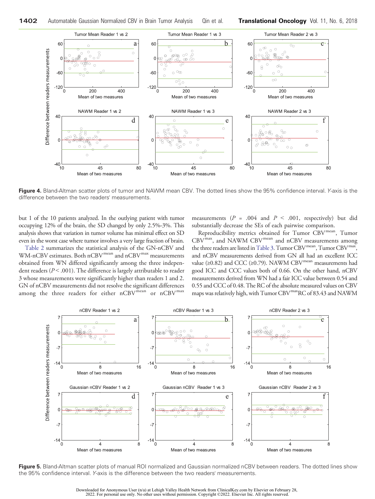<span id="page-6-0"></span>

Figure 4. Bland-Altman scatter plots of tumor and NAWM mean CBV. The dotted lines show the 95% confidence interval. Y-axis is the difference between the two readers' measurements.

but 1 of the 10 patients analyzed. In the outlying patient with tumor occupying 12% of the brain, the SD changed by only 2.5%-3%. This analysis shows that variation in tumor volume has minimal effect on SD even in the worst case where tumor involves a very large fraction of brain.

[Table 2](#page-5-0) summarizes the statistical analysis of the GN-nCBV and WM-nCBV estimates. Both nCBV<sup>mean</sup> and nCBV<sup>max</sup> measurements obtained from WN differed significantly among the three independent readers ( $P < .001$ ). The difference is largely attributable to reader 3 whose measurements were significantly higher than readers 1 and 2. GN of nCBV measurements did not resolve the significant differences among the three readers for either nCBV<sup>mean</sup> or nCBV<sup>max</sup>

measurements ( $P = .004$  and  $P < .001$ , respectively) but did substantially decrease the SEs of each pairwise comparison.

Reproducibility metrics obtained for Tumor CBV<sup>mean</sup>, Tumor CBV<sup>max</sup>, and NAWM CBV<sup>mean</sup> and nCBV measurements among the three readers are listed in [Table 3](#page-5-0). Tumor CBV<sup>mean</sup>, Tumor CBV<sup>max</sup>, and nCBV measurements derived from GN all had an excellent ICC value (≥0.82) and CCC (≥0.79). NAWM CBV<sup>mean</sup> measurements had good ICC and CCC values both of 0.66. On the other hand, nCBV measurements derived from WN had a fair ICC value between 0.54 and 0.55 and CCC of 0.48. The RC of the absolute measured values on CBV maps was relatively high, with Tumor CBV<sup>max</sup>RC of 83.43 and NAWM



Figure 5. Bland-Altman scatter plots of manual ROI normalized and Gaussian normalized nCBV between readers. The dotted lines show the 95% confidence interval. Y-axis is the difference between the two readers' measurements.

Downloaded for Anonymous User (n/a) at Lehigh Valley Health Network from ClinicalKey.com by Elsevier on February 28, 2022. For personal use only. No other uses without permission. Copyright ©2022. Elsevier Inc. All rights reserved.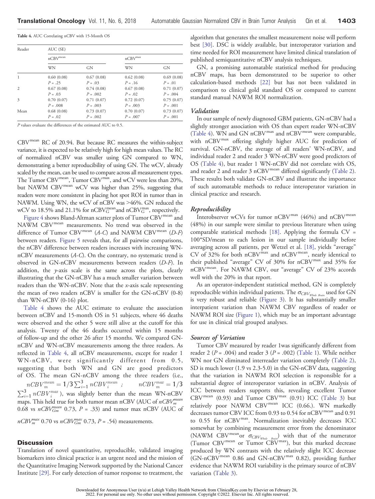Table 4. AUC Correlating nCBV with 15-Month OS

| Reader | AUC (SE)   |            |                |            |  |  |  |
|--------|------------|------------|----------------|------------|--|--|--|
|        | nCBVmean   |            | $n$ CBV $m$ ax |            |  |  |  |
|        | WN         | <b>GN</b>  | WN             | GN         |  |  |  |
| 1      | 0.60(0.08) | 0.67(0.08) | 0.62(0.08)     | 0.69(0.08) |  |  |  |
|        | $P = .25$  | $P = .03$  | $P = .16$      | $P = .01$  |  |  |  |
| 2      | 0.67(0.08) | 0.74(0.08) | 0.67(0.08)     | 0.71(0.07) |  |  |  |
|        | $P = .03$  | $P = .002$ | $P = .02$      | $P = .004$ |  |  |  |
| 3      | 0.70(0.07) | 0.71(0.07) | 0.72(0.07)     | 0.75(0.07) |  |  |  |
|        | $P = .008$ | $P = .003$ | $P = .003$     | $P = .001$ |  |  |  |
| Mean   | 0.68(0.08) | 0.73(0.07) | 0.70(0.07)     | 0.73(0.07) |  |  |  |
|        | $P = .02$  | $P = .002$ | $P = .007$     | $P = .001$ |  |  |  |

P values evaluate the differences of the estimated AUC to 0.5.

CBVmean RC of 20.94. But because RC measures the within-subject variance, it is expected to be relatively high for high mean values. The RC of normalized nCBV was smaller using GN compared to WN, demonstrating a better reproducibility of using GN. The wCV, already scaled by the mean, can be used to compare across all measurement types. The Tumor CBV<sup>mean</sup>, Tumor CBV<sup>max</sup>, and wCV were less than 20%, but NAWM CBV<sup>mean</sup> wCV was higher than 25%, suggesting that readers were more consistent in placing hot spot ROI in tumor than in NAWM. Using WN, the wCV of nCBV was  $>46\%$ . GN reduced the wCV to  $18.5\%$  and  $21.1\%$  for nCBV $_{\rm G}^{\rm mean}$  and nCBV $_{\rm G}^{\rm max}$ , respectively.

[Figure 4](#page-6-0) shows Bland-Altman scatter plots of Tumor CBV<sup>mean</sup> and NAWM CBV<sup>mean</sup> measurements. No trend was observed in the difference of Tumor CBV<sup>mean</sup> (A-C) and NAWM CBV<sup>mean</sup> (D-F) between readers. [Figure 5](#page-6-0) reveals that, for all pairwise comparisons, the nCBV difference between readers increases with increasing WNnCBV measurements  $(A-C)$ . On the contrary, no systematic trend is observed in GN-nCBV measurements between readers (D-F). In addition, the  $y$ -axis scale is the same across the plots, clearly illustrating that the GN-nCBV has a much smaller variation between readers than the WN-nCBV. Note that the x-axis scale representing the mean of two readers nCBV is smaller for the GN-nCBV (0-8) than WN-nCBV (0-16) plot.

Table 4 shows the AUC estimate to evaluate the association between nCBV and 15-month OS in 51 subjects, where 46 deaths were observed and the other 5 were still alive at the cutoff for this analysis. Twenty of the 46 deaths occurred within 15 months of follow-up and the other 26 after 15 months. We compared GNnCBV and WN-nCBV measurements among the three readers. As reflected in Table 4, all nCBV measurements, except for reader 1 WN-nCBV, were significantly different from 0.5, suggesting that both WN and GN are good predictors of OS. The mean GN-nCBV among the three readers (i.e.,  $nCBV_m^{mean} = 1/3 \sum_{i=1}^3 nCBV_i^{mean}$ ;  $nCBV_m^{max} = 1/3$  $\sum_{i=1}^{3} nCBV_i^{max}$ ), was slightly better than the mean WN-nCBV<br>maps. This held true for both tumor mean nCBV (ALIC of nCBV<sup>*mean*</sup> maps. This held true for both tumor mean nCBV (AUC of  $nCBV_m^{mean}$ 0.68 vs  $nCBV_{Gm}^{mean}$  0.73,  $P = .33$ ) and tumor max nCBV (AUC of

 $nCBV_m^{max}$  0.70 vs  $nCBV_{Gm}^{max}$  0.73,  $P = .54$ ) measurements.

## **Discussion**

Translation of novel quantitative, reproducible, validated imaging biomarkers into clinical practice is an urgent need and the mission of the Quantitative Imaging Network supported by the National Cancer Institute [\[29\]](#page-9-0). For early detection of tumor response to treatment, the algorithm that generates the smallest measurement noise will perform best [\[30\]](#page-9-0). DSC is widely available, but interoperator variation and time needed for ROI measurement have limited clinical translation of published semiquantitative nCBV analysis techniques.

GN, a promising automatable statistical method for producing nCBV maps, has been demonstrated to be superior to other calculation-based methods [\[22\]](#page-9-0) but has not been validated in comparison to clinical gold standard OS or compared to current standard manual NAWM ROI normalization.

#### Validation

In our sample of newly diagnosed GBM patients, GN-nCBV had a slightly stronger association with OS than expert reader WN-nCBV (Table 4). WN and GN nCBV<sup>max</sup> and nCBV<sup>mean</sup> were comparable, with nCBV<sup>max</sup> offering slightly higher AUC for prediction of survival. GN-nCBV, the average of all readers' WN-nCBV, and individual reader 2 and reader 3 WN-nCBV were good predictors of OS (Table 4), but reader 1 WN-nCBV did not correlate with OS, and reader 2 and reader 3 nCBV<sup>mean</sup> differed significantly [\(Table 2](#page-5-0)). These results both validate GN-nCBV and illustrate the importance of such automatable methods to reduce interoperator variation in clinical practice and research.

#### Reproducibility

Interobserver wCVs for tumor nCBV<sup>max</sup> (46%) and nCBV<sup>mean</sup> (48%) in our sample were similar to previous literature when using comparable statistical methods [\[18\]](#page-9-0). Applying the formula CV = 100\*SD/mean to each lesion in our sample individually before averaging across all patients, per Wetzel et al. [\[18\]](#page-9-0), yields "average" CV of 32% for both nCBV<sup>max</sup> and nCBV<sup>mean</sup>, nearly identical to their published "average" CV of 30% for nCBVmax and 35% for nCBV<sup>mean</sup>. For NAWM CBV, our "average" CV of 23% accords well with the 20% in that report.

As an operator-independent statistical method, GN is completely reproducible within individual patients. The  $\sigma_{CBV_{Whole\; Brian}}$  used for GN is very robust and reliable [\(Figure 3](#page-5-0)). It has substantially smaller interpatient variation than NAWM CBV regardless of reader or NAWM ROI size [\(Figure 1](#page-4-0)), which may be an important advantage for use in clinical trial grouped analyses.

## Sources of Variation

Tumor CBV measured by reader 1was significantly different from reader 2 ( $P = .004$ ) and reader 3 ( $P = .002$ ) [\(Table 1](#page-4-0)). While neither WN nor GN eliminated interreader variation completely [\(Table 2](#page-5-0)), SD is much lower (1.9 vs 2.3-5.0) in the GN-nCBV data, suggesting that the variation in NAWM ROI selection is responsible for a substantial degree of interoperator variation in nCBV. Analysis of ICC between readers supports this, revealing excellent Tumor CBV<sup>mean</sup> (0.93) and Tumor CBV<sup>max</sup> (0.91) ICC [\(Table 3](#page-5-0)) but relatively poor NAWM CBV<sup>mean</sup> ICC (0.66.). WN markedly decreases tumor CBV ICC from 0.93 to 0.54 for nCBV<sup>mean</sup> and 0.91 to 0.55 for nCBVmax. Normalization inevitably decreases ICC somewhat by combining measurement error from the denominator (NAWM CBV<sup>mean</sup>or  $\sigma_{CBV_{Whole}}$ <sub>*Brain*</sub>) with that of the numerator (Tumor CBV<sup>mean</sup> or Tumor CBV<sup>max</sup>), but this marked decrease produced by WN contrasts with the relatively slight ICC decrease (GN-nCBV<sup>mean</sup> 0.86 and GN-nCBV<sup>max</sup> 0.82), providing further evidence that NAWM ROI variability is the primary source of nCBV variation [\(Table 3](#page-5-0)).

Downloaded for Anonymous User (n/a) at Lehigh Valley Health Network from ClinicalKey.com by Elsevier on February 28, 2022. For personal use only. No other uses without permission. Copyright ©2022. Elsevier Inc. All rights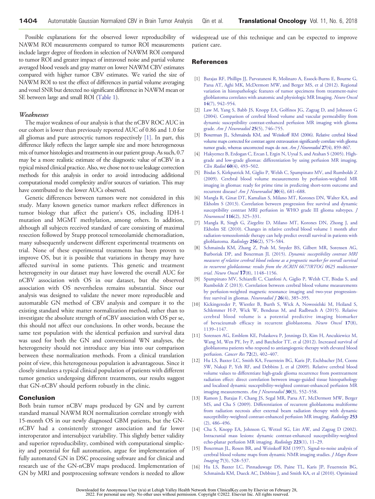<span id="page-8-0"></span>Possible explanations for the observed lower reproducibility of NAWM ROI measurements compared to tumor ROI measurements include larger degree of freedom in selection of NAWM ROI compared to tumor ROI and greater impact of intravoxel noise and partial volume averaged blood vessels and gray matter on lower NAWM CBV estimates compared with higher tumor CBV estimates. We varied the size of NAWM ROI to test the effect of differences in partial volume averaging and voxel SNR but detected no significant difference in NAWM mean or SE between large and small ROI [\(Table 1](#page-4-0)).

#### Weaknesses

The major weakness of our analysis is that the nCBV ROC AUC in our cohort is lower than previously reported AUC of 0.86 and 1.0 for all gliomas and pure astrocytic tumors respectively [1]. In part, this difference likely reflects the larger sample size and more heterogeneous mix of tumor histologies and treatments in our patient group. As such, 0.7 may be a more realistic estimate of the diagnostic value of nCBV in a typical mixed clinical practice. Also, we chose not to use leakage correction methods for this analysis in order to avoid introducing additional computational model complexity and/or sources of variation. This may have contributed to the lower AUCs observed.

Genetic differences between tumors were not considered in this study. Many known genetics tumor markers reflect differences in tumor biology that affect the patient's OS, including IDH-1 mutation and MGMT methylation, among others. In addition, although all subjects received standard of care consisting of maximal resection followed by Stupp protocol temozolamide chemoradiation, many subsequently underwent different experimental treatments on trial. None of these experimental treatments has been proven to improve OS, but it is possible that variations in therapy may have affected survival in some patients. This genetic and treatment heterogeneity in our dataset may have lowered the overall AUC for nCBV association with OS in our dataset, but the observed association with OS nevertheless remains substantial. Since our analysis was designed to validate the newer more reproducible and automatable GN method of CBV analysis and compare it to the existing standard white matter normalization method, rather than to investigate the absolute strength of nCBV association with OS per se, this should not affect our conclusions. In other words, because the same test population with the identical perfusion and survival data was used for both the GN and conventional WN analyses, the heterogeneity should not introduce any bias into our comparison between these normalization methods. From a clinical translation point of view, this heterogeneous population is advantageous. Since it closely simulates a typical clinical population of patients with different tumor genetics undergoing different treatments, our results suggest that GN-nCBV should perform robustly in the clinic.

## Conclusion

Both brain tumor nCBV maps produced by GN and by current standard manual NAWM ROI normalization correlate strongly with 15-month OS in our newly diagnosed GBM patients, but the GNnCBV had a consistently stronger association and far lower interoperator and intersubject variability. This slightly better validity and superior reproducibility, combined with computational simplicity and potential for full automation, argue for implementation of fully automated GN in DSC processing software and for clinical and research use of the GN-nCBV maps produced. Implementation of GN by MRI and postprocessing software vendors is needed to allow

widespread use of this technique and can be expected to improve patient care.

#### **References**

- [1] Ba[rajas RF, Phillips JJ, Parvataneni R, Molinaro A, Essock-Burns E, Bourne G,](http://refhub.elsevier.com/S1936-5233(18)30287-0/rf0005) Pa[rsa AT, Aghi MK, McDermott MW, and Berger MS, et al \(2012\). Regional](http://refhub.elsevier.com/S1936-5233(18)30287-0/rf0005) va[riation in histopathologic features of tumor specimens from treatment-naive](http://refhub.elsevier.com/S1936-5233(18)30287-0/rf0005) [glioblastoma correlates with anatomic and physiologic MR Imaging.](http://refhub.elsevier.com/S1936-5233(18)30287-0/rf0005) Neuro Oncol 14[\(7\), 942](http://refhub.elsevier.com/S1936-5233(18)30287-0/rf0005)–954.
- [2] [Law M, Yang S, Babb JS, Knopp EA, Golfinos JG, Zagzag D, and Johnson G](http://refhub.elsevier.com/S1936-5233(18)30287-0/rf0010) [\(2004\). Comparison of cerebral blood volume and vascular permeability from](http://refhub.elsevier.com/S1936-5233(18)30287-0/rf0010) [dynamic susceptibility contrast-enhanced perfusion MR imaging with glioma](http://refhub.elsevier.com/S1936-5233(18)30287-0/rf0010) grade. [Am J Neuroradiol](http://refhub.elsevier.com/S1936-5233(18)30287-0/rf0010) 25(5), 746-755.
- [3] [Boxerman JL, Schmainda KM, and Weisskoff RM \(2006\). Relative cerebral blood](http://refhub.elsevier.com/S1936-5233(18)30287-0/rf0015) [volume maps corrected for contrast agent extravasation significantly correlate with glioma](http://refhub.elsevier.com/S1936-5233(18)30287-0/rf0015) [tumor grade, whereas uncorrected maps do not.](http://refhub.elsevier.com/S1936-5233(18)30287-0/rf0015) Am J Neuroradiol 27(4), 859-867.
- [4] [Hakyemez B, Erdogan C, Ercan I, Ergin N, Uysal S, and Atahan S \(2005\). High](http://refhub.elsevier.com/S1936-5233(18)30287-0/rf0020)[grade and low-grade gliomas: differentiation by using perfusion MR imaging.](http://refhub.elsevier.com/S1936-5233(18)30287-0/rf0020) [Clin Radiol](http://refhub.elsevier.com/S1936-5233(18)30287-0/rf0020) 60(4), 493–502.
- [5] [Bisdas S, Kirkpatrick M, Giglio P, Welsh C, Spampinato MV, and Rumboldt Z](http://refhub.elsevier.com/S1936-5233(18)30287-0/rf0025) [\(2009\). Cerebral blood volume measurements by perfusion-weighted MR](http://refhub.elsevier.com/S1936-5233(18)30287-0/rf0025) [imaging in gliomas: ready for prime time in predicting short-term outcome and](http://refhub.elsevier.com/S1936-5233(18)30287-0/rf0025) [recurrent disease?](http://refhub.elsevier.com/S1936-5233(18)30287-0/rf0025) Am J Neuroradiol 30(4), 681–688.
- [6] [Mangla R, Ginat DT, Kamalian S, Milano MT, Korones DN, Walter KA, and](http://refhub.elsevier.com/S1936-5233(18)30287-0/rf0030) [Ekholm S \(2013\). Correlation between progression free survival and dynamic](http://refhub.elsevier.com/S1936-5233(18)30287-0/rf0030) [susceptibility contrast MRI perfusion in WHO grade III glioma subtypes.](http://refhub.elsevier.com/S1936-5233(18)30287-0/rf0030) J [Neurooncol](http://refhub.elsevier.com/S1936-5233(18)30287-0/rf0030) 116(2), 325–331.
- [7] [Mangla R, Singh G, Ziegelitz D, Milano MT, Korones DN, Zhong J, and](http://refhub.elsevier.com/S1936-5233(18)30287-0/rf0035) [Ekholm SE \(2010\). Changes in relative cerebral blood volume 1 month after](http://refhub.elsevier.com/S1936-5233(18)30287-0/rf0035) [radiation-temozolomide therapy can help predict overall survival in patients with](http://refhub.elsevier.com/S1936-5233(18)30287-0/rf0035) [glioblastoma.](http://refhub.elsevier.com/S1936-5233(18)30287-0/rf0035) Radiology 256(2), 575–584.
- [8] [Schmainda KM, Zhang Z, Prah M, Snyder BS, Gilbert MR, Sorensen AG,](http://refhub.elsevier.com/S1936-5233(18)30287-0/rf34942) [Barboriak DP, and Boxerman JL \(2015\).](http://refhub.elsevier.com/S1936-5233(18)30287-0/rf34942) [Dynamic susceptibility contrast MRI](http://refhub.elsevier.com/S1936-5233(18)30287-0/rf34942) [measures of relative cerebral blood volume as a prognostic marker for overall survival](http://refhub.elsevier.com/S1936-5233(18)30287-0/rf34942) [in recurrent glioblastoma: results from the ACRIN 6677/RTOG 0625 multicenter](http://refhub.elsevier.com/S1936-5233(18)30287-0/rf34942) trial. [Neuro Oncol](http://refhub.elsevier.com/S1936-5233(18)30287-0/rf34942) 17(8), 1148–1156.
- [9] [Spampinato MV, Schiarelli C, Cianfoni A, Giglio P, Welsh CT, Bisdas S, and](http://refhub.elsevier.com/S1936-5233(18)30287-0/rf0045) [Rumboldt Z \(2013\). Correlation between cerebral blood volume measurements](http://refhub.elsevier.com/S1936-5233(18)30287-0/rf0045) [by perfusion-weighted magnetic resonance imaging and two-year progression](http://refhub.elsevier.com/S1936-5233(18)30287-0/rf0045)[free survival in gliomas.](http://refhub.elsevier.com/S1936-5233(18)30287-0/rf0045) Neuroradiol J 26(4), 385-395.
- [10] [Kickingereder P, Wiestler B, Burth S, Wick A, Nowosielski M, Heiland S,](http://refhub.elsevier.com/S1936-5233(18)30287-0/rf0050) [Schlemmer H-P, Wick W, Bendszus M, and Radbruch A \(2015\). Relative](http://refhub.elsevier.com/S1936-5233(18)30287-0/rf0050) [cerebral blood volume is a potential predictive imaging biomarker](http://refhub.elsevier.com/S1936-5233(18)30287-0/rf0050) [of bevacizumab efficacy in recurrent glioblastoma.](http://refhub.elsevier.com/S1936-5233(18)30287-0/rf0050) Neuro Oncol 17(8), 1139–[1147.](http://refhub.elsevier.com/S1936-5233(18)30287-0/rf0050)
- [11] [Sorensen AG, Emblem KE, Polaskova P, Jennings D, Kim H, Ancukiewicz M,](http://refhub.elsevier.com/S1936-5233(18)30287-0/rf0055) [Wang M, Wen PY, Ivy P, and Batchelor TT, et al \(2012\). Increased survival of](http://refhub.elsevier.com/S1936-5233(18)30287-0/rf0055) [glioblastoma patients who respond to antiangiogenic therapy with elevated blood](http://refhub.elsevier.com/S1936-5233(18)30287-0/rf0055) perfusion. [Cancer Res](http://refhub.elsevier.com/S1936-5233(18)30287-0/rf0055) 72(2), 402–407.
- [12] [Hu LS, Baxter LC, Smith KA, Feuerstein BG, Karis JP, Eschbacher JM, Coons](http://refhub.elsevier.com/S1936-5233(18)30287-0/rf0060) [SW, Nakaji P, Yeh RF, and Debbins J, et al \(2009\). Relative cerebral blood](http://refhub.elsevier.com/S1936-5233(18)30287-0/rf0060) [volume values to differentiate high-grade glioma recurrence from posttreatment](http://refhub.elsevier.com/S1936-5233(18)30287-0/rf0060) [radiation effect: direct correlation between image-guided tissue histopathology](http://refhub.elsevier.com/S1936-5233(18)30287-0/rf0060) [and localized dynamic susceptibility-weighted contrast-enhanced perfusion MR](http://refhub.elsevier.com/S1936-5233(18)30287-0/rf0060) [imaging measurements.](http://refhub.elsevier.com/S1936-5233(18)30287-0/rf0060) Am J Neuroradiol 30(3), 552-558.
- [13] [Ramon J, Barajas F, Chang JS, Segal MR, Parsa AT, McDermott MW, Berger](http://refhub.elsevier.com/S1936-5233(18)30287-0/rf0065) [MS, and Cha S \(2009\). Differentiation of recurrent glioblastoma multiforme](http://refhub.elsevier.com/S1936-5233(18)30287-0/rf0065) [from radiation necrosis after external beam radiation therapy with dynamic](http://refhub.elsevier.com/S1936-5233(18)30287-0/rf0065) [susceptibility-weighted contrast-enhanced perfusion MR imaging.](http://refhub.elsevier.com/S1936-5233(18)30287-0/rf0065) Radiology 253 [\(2\), 486](http://refhub.elsevier.com/S1936-5233(18)30287-0/rf0065)–496.
- [14] [Cha S, Knopp EA, Johnson G, Wetzel SG, Litt AW, and Zagzag D \(2002\).](http://refhub.elsevier.com/S1936-5233(18)30287-0/rf0070) [Intracranial mass lesions: dynamic contrast-enhanced susceptibility-weighted](http://refhub.elsevier.com/S1936-5233(18)30287-0/rf0070) [echo-planar perfusion MR imaging.](http://refhub.elsevier.com/S1936-5233(18)30287-0/rf0070) Radiology 223(1), 11–29.
- [15] [Boxerman JL, Rosen BR, and Weisskoff RM \(1997\). Signal-to-noise analysis of](http://refhub.elsevier.com/S1936-5233(18)30287-0/rf0075) [cerebral blood volume maps from dynamic NMR imaging studies.](http://refhub.elsevier.com/S1936-5233(18)30287-0/rf0075) J Magn Reson Imaging 7[\(3\), 528](http://refhub.elsevier.com/S1936-5233(18)30287-0/rf0075)–537.
- [16] [Hu LS, Baxter LC, Pinnaduwage DS, Paine TL, Karis JP, Feuerstein BG,](http://refhub.elsevier.com/S1936-5233(18)30287-0/rf0080) [Schmainda KM, Dueck AC, Debbins J, and Smith KA, et al \(2010\). Optimized](http://refhub.elsevier.com/S1936-5233(18)30287-0/rf0080)

Downloaded for Anonymous User (n/a) at Lehigh Valley Health Network from ClinicalKey.com by Elsevier on February 28, 2022. For personal use only. No other uses without permission. Copyright ©2022. Elsevier Inc. All rights